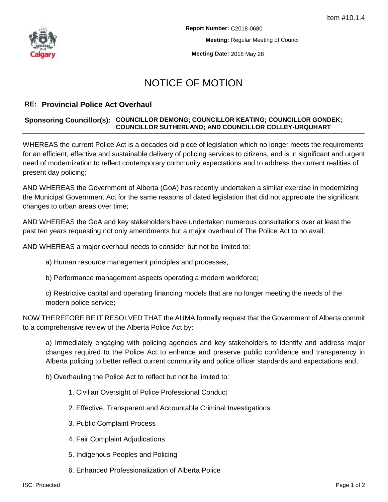

**Meeting Date:** 2018 May 28

## NOTICE OF MOTION

## **RE: Provincial Police Act Overhaul**

## **Sponsoring Councillor(s): COUNCILLOR DEMONG; COUNCILLOR KEATING; COUNCILLOR GONDEK; COUNCILLOR SUTHERLAND; AND COUNCILLOR COLLEY-URQUHART**

WHEREAS the current Police Act is a decades old piece of legislation which no longer meets the requirements for an efficient, effective and sustainable delivery of policing services to citizens, and is in significant and urgent need of modernization to reflect contemporary community expectations and to address the current realities of present day policing;

AND WHEREAS the Government of Alberta (GoA) has recently undertaken a similar exercise in modernizing the Municipal Government Act for the same reasons of dated legislation that did not appreciate the significant changes to urban areas over time;

AND WHEREAS the GoA and key stakeholders have undertaken numerous consultations over at least the past ten years requesting not only amendments but a major overhaul of The Police Act to no avail;

AND WHEREAS a major overhaul needs to consider but not be limited to:

- a) Human resource management principles and processes;
- b) Performance management aspects operating a modern workforce;

c) Restrictive capital and operating financing models that are no longer meeting the needs of the modern police service;

NOW THEREFORE BE IT RESOLVED THAT the AUMA formally request that the Government of Alberta commit to a comprehensive review of the Alberta Police Act by:

a) Immediately engaging with policing agencies and key stakeholders to identify and address major changes required to the Police Act to enhance and preserve public confidence and transparency in Alberta policing to better reflect current community and police officer standards and expectations and,

b) Overhauling the Police Act to reflect but not be limited to:

- 1. Civilian Oversight of Police Professional Conduct
- 2. Effective, Transparent and Accountable Criminal Investigations
- 3. Public Complaint Process
- 4. Fair Complaint Adjudications
- 5. Indigenous Peoples and Policing
- 6. Enhanced Professionalization of Alberta Police